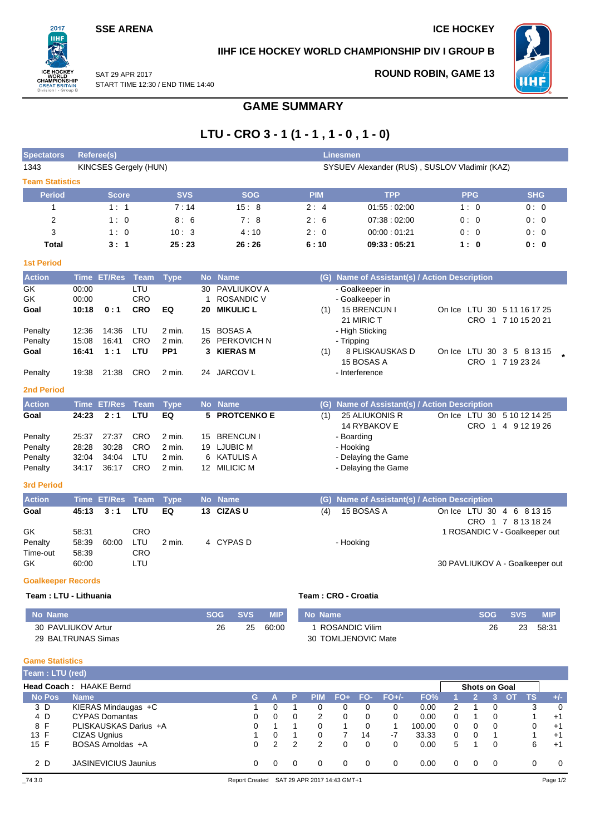### **SSE ARENA ICE HOCKEY**

 $2017$ **IIHF** 

**REATE** on I - Group

## **IIHF ICE HOCKEY WORLD CHAMPIONSHIP DIV I GROUP B**



**ROUND ROBIN, GAME 13**

SAT 29 APR 2017 START TIME 12:30 / END TIME 14:40

# **GAME SUMMARY**

# **LTU - CRO 3 - 1 (1 - 1 , 1 - 0 , 1 - 0)**

| <b>Spectators</b>                                | <b>Referee(s)</b>                         |                                         |                                        |                                            |                          |                                                                                      |            |                | <b>Linesmen</b>                                                                                         |                                                                  |                          |
|--------------------------------------------------|-------------------------------------------|-----------------------------------------|----------------------------------------|--------------------------------------------|--------------------------|--------------------------------------------------------------------------------------|------------|----------------|---------------------------------------------------------------------------------------------------------|------------------------------------------------------------------|--------------------------|
| 1343                                             |                                           | KINCSES Gergely (HUN)                   |                                        |                                            |                          |                                                                                      |            |                | SYSUEV Alexander (RUS), SUSLOV Vladimir (KAZ)                                                           |                                                                  |                          |
| <b>Team Statistics</b>                           |                                           |                                         |                                        |                                            |                          |                                                                                      |            |                |                                                                                                         |                                                                  |                          |
| <b>Period</b>                                    |                                           | <b>Score</b>                            |                                        | <b>SVS</b>                                 |                          | <b>SOG</b>                                                                           |            | <b>PIM</b>     | <b>TPP</b>                                                                                              | <b>PPG</b>                                                       | <b>SHG</b>               |
| $\mathbf{1}$                                     |                                           | 1:1                                     |                                        | 7:14                                       |                          | 15:8                                                                                 |            | 2:4            | 01:55:02:00                                                                                             | 1:0                                                              | 0:0                      |
| $\overline{2}$                                   |                                           | 1:0                                     |                                        | 8:6                                        |                          | 7:8                                                                                  |            | 2:6            | 07:38:02:00                                                                                             | 0: 0                                                             | 0:0                      |
| 3                                                |                                           | 1:0                                     |                                        | 10:3                                       |                          | 4:10                                                                                 |            | 2:0            | 00:00:01:21                                                                                             | 0:0                                                              | 0:0                      |
| <b>Total</b>                                     |                                           | 3:1                                     |                                        | 25:23                                      |                          | 26:26                                                                                |            | 6:10           | 09:33:05:21                                                                                             | 1:0                                                              | 0:0                      |
| <b>1st Period</b>                                |                                           |                                         |                                        |                                            |                          |                                                                                      |            |                |                                                                                                         |                                                                  |                          |
| <b>Action</b>                                    |                                           | Time ET/Res Team                        |                                        | <b>Type</b>                                |                          | No Name                                                                              |            |                | (G) Name of Assistant(s) / Action Description                                                           |                                                                  |                          |
| GK<br>GK<br>Goal                                 | 00:00<br>00:00<br>10:18                   | 0:1                                     | LTU<br>CRO<br><b>CRO</b>               | EQ                                         | 30<br>$\mathbf{1}$<br>20 | <b>PAVLIUKOV A</b><br><b>ROSANDIC V</b><br><b>MIKULIC L</b>                          |            | (1)            | - Goalkeeper in<br>- Goalkeeper in<br>15 BRENCUN I<br>21 MIRIC T                                        | On Ice LTU 30 5 11 16 17 25                                      | CRO 1 7 10 15 20 21      |
| Penalty<br>Penalty<br>Goal                       | 12:36<br>15:08<br>16:41                   | 14:36<br>16:41<br>1:1                   | LTU<br><b>CRO</b><br>LTU               | $2$ min.<br>$2$ min.<br>PP <sub>1</sub>    | 15<br>26<br>3            | <b>BOSAS A</b><br><b>PERKOVICH N</b><br><b>KIERAS M</b>                              |            | (1)            | - High Sticking<br>- Tripping<br>8 PLISKAUSKAS D<br>15 BOSAS A                                          | On Ice LTU 30 3 5 8 13 15<br>CRO 1 7 19 23 24                    |                          |
| Penalty                                          | 19:38                                     | 21:38                                   | <b>CRO</b>                             | 2 min.                                     |                          | 24 JARCOV L                                                                          |            |                | - Interference                                                                                          |                                                                  |                          |
| <b>2nd Period</b>                                |                                           |                                         |                                        |                                            |                          |                                                                                      |            |                |                                                                                                         |                                                                  |                          |
| <b>Action</b>                                    |                                           | <b>Time ET/Res</b>                      | Team                                   | <b>Type</b>                                |                          | No Name                                                                              |            |                | (G) Name of Assistant(s) / Action Description                                                           |                                                                  |                          |
| Goal<br>Penalty<br>Penalty<br>Penalty<br>Penalty | 24:23<br>25:37<br>28:28<br>32:04<br>34:17 | 2:1<br>27:37<br>30:28<br>34:04<br>36:17 | <b>LTU</b><br>CRO<br>CRO<br>LTU<br>CRO | EQ<br>2 min.<br>2 min.<br>2 min.<br>2 min. | 15<br>6                  | 5 PROTCENKO E<br><b>BRENCUN I</b><br>19 LJUBIC M<br><b>KATULIS A</b><br>12 MILICIC M |            | (1)            | 25 ALIUKONIS R<br>14 RYBAKOV E<br>- Boarding<br>- Hooking<br>- Delaying the Game<br>- Delaying the Game | On Ice LTU 30 5 10 12 14 25                                      | CRO 1 4 9 12 19 26       |
| <b>3rd Period</b>                                |                                           |                                         |                                        |                                            |                          |                                                                                      |            |                |                                                                                                         |                                                                  |                          |
| <b>Action</b>                                    |                                           | <b>Time ET/Res</b>                      | <b>Team</b>                            | <b>Type</b>                                |                          | No Name                                                                              |            |                | (G) Name of Assistant(s) / Action Description                                                           |                                                                  |                          |
| Goal                                             | 45:13                                     | 3:1                                     | LTU                                    | EQ                                         |                          | 13 CIZAS U                                                                           |            | (4)            | 15 BOSAS A                                                                                              | On Ice LTU 30 4 6 8 13 15                                        | CRO 1 7 8 13 18 24       |
| GK<br>Penalty<br>Time-out<br>GK                  | 58:31<br>58:39<br>58:39<br>60:00          | 60:00                                   | <b>CRO</b><br>LTU<br><b>CRO</b><br>LTU | $2$ min.                                   |                          | 4 CYPAS D                                                                            |            |                | - Hooking                                                                                               | 1 ROSANDIC V - Goalkeeper out<br>30 PAVLIUKOV A - Goalkeeper out |                          |
| <b>Goalkeeper Records</b>                        |                                           |                                         |                                        |                                            |                          |                                                                                      |            |                |                                                                                                         |                                                                  |                          |
| Team: LTU - Lithuania                            |                                           |                                         |                                        |                                            |                          |                                                                                      |            |                | Team: CRO - Croatia                                                                                     |                                                                  |                          |
| <b>No Name</b>                                   |                                           |                                         |                                        |                                            |                          | <b>SVS</b><br><b>SOG</b>                                                             | <b>MIP</b> | <b>No Name</b> |                                                                                                         | <b>SOG</b>                                                       | <b>SVS</b><br><b>MIP</b> |
| 30 PAVLIUKOV Artur<br>29 BALTRUNAS Simas         |                                           |                                         |                                        |                                            |                          | 26<br>25                                                                             | 60:00      |                | 1 ROSANDIC Vilim<br>30 TOMLJENOVIC Mate                                                                 | 26                                                               | 23<br>58:31              |

#### **Game Statistics**

| Team: LTU (red) |                                |                       |               |          |            |                             |          |          |        |          |                      |          |           |    |          |
|-----------------|--------------------------------|-----------------------|---------------|----------|------------|-----------------------------|----------|----------|--------|----------|----------------------|----------|-----------|----|----------|
|                 | <b>Head Coach: HAAKE Bernd</b> |                       |               |          |            |                             |          |          |        |          | <b>Shots on Goal</b> |          |           |    |          |
| <b>No Pos</b>   | <b>Name</b>                    | G.                    |               | Р        | <b>PIM</b> | $FO+$                       | FO-      | $FO+/-$  | FO%    |          |                      |          | <b>OT</b> | ΤS | $+/-$    |
| 3 D             | KIERAS Mindaugas +C            |                       |               |          |            | 0                           | 0        | 0        | 0.00   | 2        |                      |          |           | 3  | $\Omega$ |
| 4 D             | <b>CYPAS Domantas</b>          | 0                     | <sup>0</sup>  | 0        | 2          | $\Omega$                    | 0        | $\Omega$ | 0.00   | $\Omega$ |                      | $\Omega$ |           |    | $+1$     |
| 8 F             | PLISKAUSKAS Darius +A          | 0                     |               |          | $\Omega$   |                             | $\Omega$ |          | 100.00 | 0        | $\Omega$             | $\Omega$ |           |    | $+1$     |
| 13 F            | <b>CIZAS Ugnius</b>            |                       |               |          | 0          |                             | 14       | $-7$     | 33.33  | $\Omega$ | $\Omega$             |          |           |    | $+1$     |
| 15 F            | BOSAS Arnoldas +A              | 0                     | $\mathcal{P}$ | 2        | 2          | 0                           | 0        | 0        | 0.00   | 5        |                      | $\Omega$ |           | 6  | $+1$     |
| 2 D             | <b>JASINEVICIUS Jaunius</b>    | 0                     | $\Omega$      | $\Omega$ | 0          | 0                           | $\Omega$ | $\Omega$ | 0.00   | $\Omega$ | $\Omega$             | $\Omega$ |           |    | $\Omega$ |
| 74 3.0          |                                | <b>Report Created</b> |               |          |            | SAT 29 APR 2017 14:43 GMT+1 |          |          |        |          |                      |          |           |    | Page 1/2 |